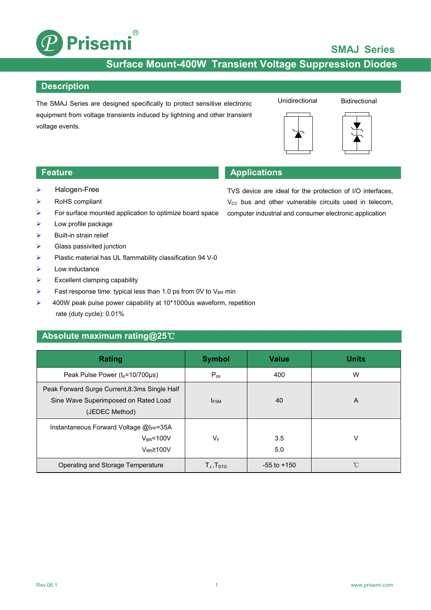

## **SMAJ Series**

## **Surface Mount-400W Transient Voltage Suppression Diodes**

### **Description**

The SMAJ Series are designed specifically to protect sensitive electronic equipment from voltage transients induced by lightning and other transient voltage events.

### **Bidirectional**





## **Feature Applications**

- > Halogen-Free
- $\triangleright$  RoHS compliant
- $\triangleright$  For surface mounted application to optimize board space
- $\triangleright$  Low profile package
- $\triangleright$  Built-in strain relief
- $\triangleright$  Glass passivited junction
- $\triangleright$  Plastic material has UL flammability classification 94 V-0
- $\triangleright$  Low inductance
- $\triangleright$  Excellent clamping capability
- Fast response time: typical less than 1.0 ps from 0V to  $V_{BR}$  min
- ▶ 400W peak pulse power capability at 10\*1000us waveform, repetition rate (duty cycle): 0.01%

### **Absolute maximum rating@25**℃

| Rating                                                                                                  | <b>Symbol</b>               | <b>Value</b>    | <b>Units</b> |
|---------------------------------------------------------------------------------------------------------|-----------------------------|-----------------|--------------|
| Peak Pulse Power (t <sub>p</sub> =10/700µs)                                                             | $P_{pp}$                    | 400             | W            |
| Peak Forward Surge Current, 8.3ms Single Half<br>Sine Wave Superimposed on Rated Load<br>(JEDEC Method) | <b>IFSM</b>                 | 40              | A            |
| Instantaneous Forward Voltage @I <sub>PP</sub> =35A<br>$V_{BR}$ <100V<br>$V_{BR} \ge 100 V$             | $V_F$                       | 3.5<br>5.0      | v            |
| Operating and Storage Temperature                                                                       | $T_{\sf J}$ , $T_{\sf STG}$ | $-55$ to $+150$ | $^{\circ}C$  |

TVS device are ideal for the protection of I/O interfaces,  $V_{CC}$  bus and other vulnerable circuits used in telecom, computer industrial and consumer electronic application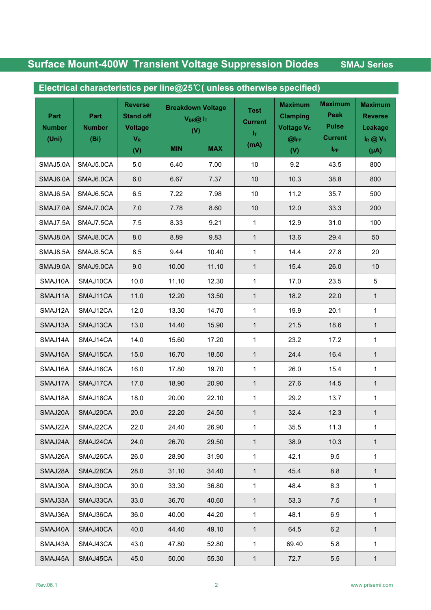# **Surface Mount-400W Transient Voltage Suppression Diodes SMAJ Series**

| Part<br>Part<br><b>Number</b><br><b>Number</b> | <b>Reverse</b><br><b>Stand off</b><br><b>Voltage</b> | <b>Breakdown Voltage</b><br>$V_{BR}@I_T$<br>(V) |            | <b>Test</b><br><b>Current</b><br>$\mathbf{I}_{\mathrm{T}}$ | <b>Maximum</b><br><b>Clamping</b><br><b>Voltage Vc</b> | <b>Maximum</b><br>Peak<br><b>Pulse</b> | <b>Maximum</b><br><b>Reverse</b><br>Leakage |                                |
|------------------------------------------------|------------------------------------------------------|-------------------------------------------------|------------|------------------------------------------------------------|--------------------------------------------------------|----------------------------------------|---------------------------------------------|--------------------------------|
| (Uni)                                          | (Bi)                                                 | $V_{R}$<br>(V)                                  | <b>MIN</b> | <b>MAX</b>                                                 | (mA)                                                   | $@$ lpp<br>(V)                         | <b>Current</b><br><b>IPP</b>                | $I_R \oslash V_R$<br>$(\mu A)$ |
| SMAJ5.0A                                       | SMAJ5.0CA                                            | $5.0\,$                                         | 6.40       | 7.00                                                       | 10                                                     | 9.2                                    | 43.5                                        | 800                            |
| SMAJ6.0A                                       | SMAJ6.0CA                                            | $6.0\,$                                         | 6.67       | 7.37                                                       | $10$                                                   | 10.3                                   | 38.8                                        | 800                            |
| SMAJ6.5A                                       | SMAJ6.5CA                                            | 6.5                                             | 7.22       | 7.98                                                       | 10                                                     | 11.2                                   | 35.7                                        | 500                            |
| SMAJ7.0A                                       | SMAJ7.0CA                                            | $7.0$                                           | 7.78       | 8.60                                                       | $10$                                                   | 12.0                                   | 33.3                                        | 200                            |
| SMAJ7.5A                                       | SMAJ7.5CA                                            | $7.5$                                           | 8.33       | 9.21                                                       | $\mathbf{1}$                                           | 12.9                                   | 31.0                                        | 100                            |
| SMAJ8.0A                                       | SMAJ8.0CA                                            | 8.0                                             | 8.89       | 9.83                                                       | $\mathbf{1}$                                           | 13.6                                   | 29.4                                        | 50                             |
| SMAJ8.5A                                       | SMAJ8.5CA                                            | 8.5                                             | 9.44       | 10.40                                                      | $\mathbf{1}$                                           | 14.4                                   | 27.8                                        | 20                             |
| SMAJ9.0A                                       | SMAJ9.0CA                                            | 9.0                                             | 10.00      | 11.10                                                      | $\mathbf{1}$                                           | 15.4                                   | 26.0                                        | 10                             |
| SMAJ10A                                        | SMAJ10CA                                             | 10.0                                            | 11.10      | 12.30                                                      | $\mathbf 1$                                            | 17.0                                   | 23.5                                        | 5                              |
| SMAJ11A                                        | SMAJ11CA                                             | 11.0                                            | 12.20      | 13.50                                                      | $\mathbf{1}$                                           | 18.2                                   | 22.0                                        | $\mathbf{1}$                   |
| SMAJ12A                                        | SMAJ12CA                                             | 12.0                                            | 13.30      | 14.70                                                      | $\mathbf 1$                                            | 19.9                                   | 20.1                                        | $\mathbf{1}$                   |
| SMAJ13A                                        | SMAJ13CA                                             | 13.0                                            | 14.40      | 15.90                                                      | $\mathbf{1}$                                           | 21.5                                   | 18.6                                        | $\mathbf{1}$                   |
| SMAJ14A                                        | SMAJ14CA                                             | 14.0                                            | 15.60      | 17.20                                                      | $\mathbf 1$                                            | 23.2                                   | 17.2                                        | $\mathbf{1}$                   |
| SMAJ15A                                        | SMAJ15CA                                             | 15.0                                            | 16.70      | 18.50                                                      | $\mathbf{1}$                                           | 24.4                                   | 16.4                                        | $\mathbf{1}$                   |
| SMAJ16A                                        | SMAJ16CA                                             | 16.0                                            | 17.80      | 19.70                                                      | $\mathbf{1}$                                           | 26.0                                   | 15.4                                        | $\mathbf{1}$                   |
| SMAJ17A                                        | SMAJ17CA                                             | 17.0                                            | 18.90      | 20.90                                                      | $\mathbf{1}$                                           | 27.6                                   | 14.5                                        | $\mathbf{1}$                   |
| SMAJ18A                                        | SMAJ18CA                                             | 18.0                                            | 20.00      | 22.10                                                      | $\mathbf{1}$                                           | 29.2                                   | 13.7                                        | $\mathbf{1}$                   |
| SMAJ20A                                        | SMAJ20CA                                             | 20.0                                            | 22.20      | 24.50                                                      | $\mathbf{1}$                                           | 32.4                                   | 12.3                                        | $\mathbf{1}$                   |
| SMAJ22A                                        | SMAJ22CA                                             | 22.0                                            | 24.40      | 26.90                                                      | $\mathbf{1}$                                           | 35.5                                   | 11.3                                        | $\mathbf{1}$                   |
| SMAJ24A                                        | SMAJ24CA                                             | 24.0                                            | 26.70      | 29.50                                                      | $\mathbf{1}$                                           | 38.9                                   | 10.3                                        | $\mathbf{1}$                   |
| SMAJ26A                                        | SMAJ26CA                                             | 26.0                                            | 28.90      | 31.90                                                      | $\mathbf{1}$                                           | 42.1                                   | 9.5                                         | $\mathbf{1}$                   |
| SMAJ28A                                        | SMAJ28CA                                             | 28.0                                            | 31.10      | 34.40                                                      | $\mathbf{1}$                                           | 45.4                                   | 8.8                                         | $\mathbf{1}$                   |
| SMAJ30A                                        | SMAJ30CA                                             | 30.0                                            | 33.30      | 36.80                                                      | $\mathbf{1}$                                           | 48.4                                   | 8.3                                         | $\mathbf 1$                    |
| SMAJ33A                                        | SMAJ33CA                                             | 33.0                                            | 36.70      | 40.60                                                      | $\mathbf{1}$                                           | 53.3                                   | 7.5                                         | $\mathbf{1}$                   |
| SMAJ36A                                        | SMAJ36CA                                             | 36.0                                            | 40.00      | 44.20                                                      | $\mathbf{1}$                                           | 48.1                                   | 6.9                                         | $\mathbf{1}$                   |
| SMAJ40A                                        | SMAJ40CA                                             | 40.0                                            | 44.40      | 49.10                                                      | $\mathbf{1}$                                           | 64.5                                   | 6.2                                         | $\mathbf{1}$                   |
| SMAJ43A                                        | SMAJ43CA                                             | 43.0                                            | 47.80      | 52.80                                                      | $\mathbf{1}$                                           | 69.40                                  | 5.8                                         | $\mathbf{1}$                   |
| SMAJ45A                                        | SMAJ45CA                                             | 45.0                                            | 50.00      | 55.30                                                      | $\mathbf{1}$                                           | 72.7                                   | 5.5                                         | $\mathbf{1}$                   |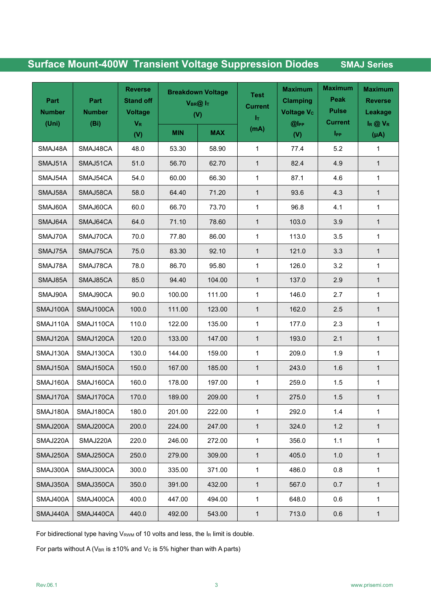## **Surface Mount-400W Transient Voltage Suppression Diodes SMAJ Series**

| Part<br>Part<br><b>Number</b><br><b>Number</b><br>(Uni)<br>(Bi) |           | <b>Reverse</b><br><b>Stand off</b><br><b>Voltage</b><br>$V_{R}$ | <b>Breakdown Voltage</b><br>$V_{BR}@ _{T}$<br>(V) |            | <b>Test</b><br><b>Current</b><br>$\mathbf{I}_{\mathrm{T}}$ | <b>Maximum</b><br><b>Clamping</b><br><b>Voltage Vc</b><br>$@$ IPP | <b>Maximum</b><br>Peak<br><b>Pulse</b><br><b>Current</b> | <b>Maximum</b><br><b>Reverse</b><br>Leakage<br>$I_R @ V_R$ |
|-----------------------------------------------------------------|-----------|-----------------------------------------------------------------|---------------------------------------------------|------------|------------------------------------------------------------|-------------------------------------------------------------------|----------------------------------------------------------|------------------------------------------------------------|
|                                                                 |           | (V)                                                             | <b>MIN</b>                                        | <b>MAX</b> | (mA)                                                       | (V)                                                               | I <sub>PP</sub>                                          | $(\mu A)$                                                  |
| SMAJ48A                                                         | SMAJ48CA  | 48.0                                                            | 53.30                                             | 58.90      | $\mathbf{1}$                                               | 77.4                                                              | 5.2                                                      | $\mathbf 1$                                                |
| SMAJ51A                                                         | SMAJ51CA  | 51.0                                                            | 56.70                                             | 62.70      | $\mathbf{1}$                                               | 82.4                                                              | 4.9                                                      | $\mathbf{1}$                                               |
| SMAJ54A                                                         | SMAJ54CA  | 54.0                                                            | 60.00                                             | 66.30      | $\mathbf{1}$                                               | 87.1                                                              | 4.6                                                      | $\mathbf{1}$                                               |
| SMAJ58A                                                         | SMAJ58CA  | 58.0                                                            | 64.40                                             | 71.20      | $\mathbf{1}$                                               | 93.6                                                              | 4.3                                                      | $\mathbf{1}$                                               |
| SMAJ60A                                                         | SMAJ60CA  | 60.0                                                            | 66.70                                             | 73.70      | $\mathbf{1}$                                               | 96.8                                                              | 4.1                                                      | $\mathbf{1}$                                               |
| SMAJ64A                                                         | SMAJ64CA  | 64.0                                                            | 71.10                                             | 78.60      | $\mathbf{1}$                                               | 103.0                                                             | 3.9                                                      | $\mathbf{1}$                                               |
| SMAJ70A                                                         | SMAJ70CA  | 70.0                                                            | 77.80                                             | 86.00      | $\mathbf{1}$                                               | 113.0                                                             | $3.5\,$                                                  | 1                                                          |
| SMAJ75A                                                         | SMAJ75CA  | 75.0                                                            | 83.30                                             | 92.10      | $\mathbf{1}$                                               | 121.0                                                             | 3.3                                                      | $\mathbf{1}$                                               |
| SMAJ78A                                                         | SMAJ78CA  | 78.0                                                            | 86.70                                             | 95.80      | $\mathbf{1}$                                               | 126.0                                                             | 3.2                                                      | $\mathbf{1}$                                               |
| SMAJ85A                                                         | SMAJ85CA  | 85.0                                                            | 94.40                                             | 104.00     | $\mathbf{1}$                                               | 137.0                                                             | 2.9                                                      | $\mathbf{1}$                                               |
| SMAJ90A                                                         | SMAJ90CA  | 90.0                                                            | 100.00                                            | 111.00     | $\mathbf{1}$                                               | 146.0                                                             | 2.7                                                      | $\mathbf{1}$                                               |
| SMAJ100A                                                        | SMAJ100CA | 100.0                                                           | 111.00                                            | 123.00     | $\mathbf{1}$                                               | 162.0                                                             | 2.5                                                      | $\mathbf{1}$                                               |
| SMAJ110A                                                        | SMAJ110CA | 110.0                                                           | 122.00                                            | 135.00     | 1                                                          | 177.0                                                             | 2.3                                                      | $\mathbf{1}$                                               |
| SMAJ120A                                                        | SMAJ120CA | 120.0                                                           | 133.00                                            | 147.00     | $\mathbf{1}$                                               | 193.0                                                             | 2.1                                                      | $\mathbf{1}$                                               |
| SMAJ130A                                                        | SMAJ130CA | 130.0                                                           | 144.00                                            | 159.00     | $\mathbf{1}$                                               | 209.0                                                             | 1.9                                                      | $\mathbf 1$                                                |
| SMAJ150A                                                        | SMAJ150CA | 150.0                                                           | 167.00                                            | 185.00     | $\mathbf{1}$                                               | 243.0                                                             | 1.6                                                      | $\mathbf{1}$                                               |
| SMAJ160A                                                        | SMAJ160CA | 160.0                                                           | 178.00                                            | 197.00     | $\mathbf{1}$                                               | 259.0                                                             | $1.5$                                                    | 1                                                          |
| SMAJ170A                                                        | SMAJ170CA | 170.0                                                           | 189.00                                            | 209.00     | $\mathbf{1}$                                               | 275.0                                                             | 1.5                                                      | $\mathbf{1}$                                               |
| SMAJ180A                                                        | SMAJ180CA | 180.0                                                           | 201.00                                            | 222.00     | $\mathbf{1}$                                               | 292.0                                                             | 1.4                                                      | $\mathbf 1$                                                |
| SMAJ200A                                                        | SMAJ200CA | 200.0                                                           | 224.00                                            | 247.00     | $\mathbf{1}$                                               | 324.0                                                             | 1.2                                                      | $\mathbf{1}$                                               |
| SMAJ220A                                                        | SMAJ220A  | 220.0                                                           | 246.00                                            | 272.00     | $\mathbf{1}$                                               | 356.0                                                             | 1.1                                                      | 1                                                          |
| SMAJ250A                                                        | SMAJ250CA | 250.0                                                           | 279.00                                            | 309.00     | $\mathbf{1}$                                               | 405.0                                                             | $1.0$                                                    | $\mathbf{1}$                                               |
| SMAJ300A                                                        | SMAJ300CA | 300.0                                                           | 335.00                                            | 371.00     | $\mathbf{1}$                                               | 486.0                                                             | 0.8                                                      | $\mathbf{1}$                                               |
| SMAJ350A                                                        | SMAJ350CA | 350.0                                                           | 391.00                                            | 432.00     | $\mathbf{1}$                                               | 567.0                                                             | 0.7                                                      | $\mathbf{1}$                                               |
| SMAJ400A                                                        | SMAJ400CA | 400.0                                                           | 447.00                                            | 494.00     | $\mathbf{1}$                                               | 648.0                                                             | 0.6                                                      | $\mathbf 1$                                                |
| SMAJ440A                                                        | SMAJ440CA | 440.0                                                           | 492.00                                            | 543.00     | $\mathbf{1}$                                               | 713.0                                                             | 0.6                                                      | $\mathbf{1}$                                               |

For bidirectional type having  $V_{RWM}$  of 10 volts and less, the  $I_R$  limit is double.

For parts without A (V<sub>BR</sub> is  $\pm$ 10% and V<sub>c</sub> is 5% higher than with A parts)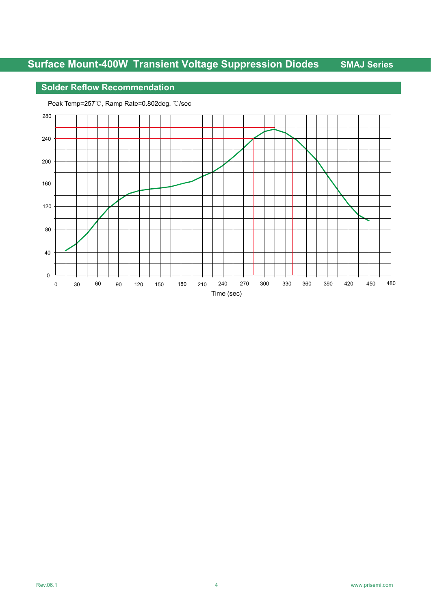## **Solder Reflow Recommendation**

Peak Temp=257℃, Ramp Rate=0.802deg. ℃/sec

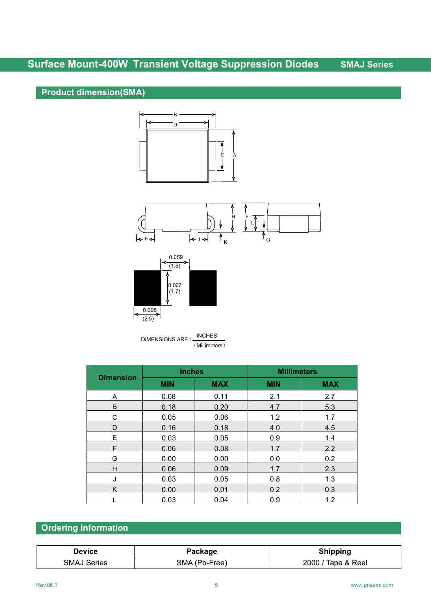## **Surface Mount-400W Transient Voltage Suppression Diodes SMAJ Series**

## **Product dimension(SMA)**







DIMENSIONS ARE : INCHES (Millimeters)

| <b>Dimension</b> | <b>Inches</b> |            | <b>Millimeters</b> |            |  |
|------------------|---------------|------------|--------------------|------------|--|
|                  | <b>MIN</b>    | <b>MAX</b> | <b>MIN</b>         | <b>MAX</b> |  |
| Α                | 0.08          | 0.11       | 2.1                | 2.7        |  |
| B                | 0.18          | 0.20       | 4.7                | 5.3        |  |
| $\mathsf C$      | 0.05          | 0.06       | 1.2                | 1.7        |  |
| D                | 0.16          | 0.18       | 4.0                | 4.5        |  |
| E                | 0.03          | 0.05       | 0.9                | 1.4        |  |
| F                | 0.06          | 0.08       | 1.7                | 2.2        |  |
| G                | 0.00          | 0.00       | 0.0                | 0.2        |  |
| H                | 0.06          | 0.09       | 1.7                | 2.3        |  |
| J                | 0.03          | 0.05       | 0.8                | 1.3        |  |
| Κ                | 0.00          | 0.01       | 0.2                | 0.3        |  |
|                  | 0.03          | 0.04       | 0.9                | 1.2        |  |

## **Ordering information**

| Device         |             |                               |
|----------------|-------------|-------------------------------|
| SMA.<br>series | Free<br>ŝМA | 2000<br>Reel<br>ane<br>$\sim$ |